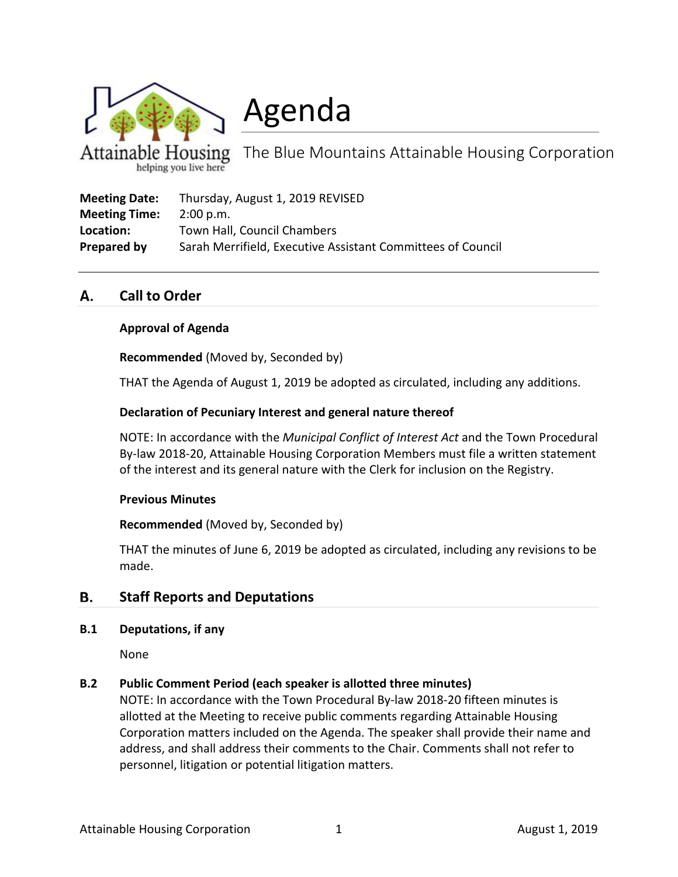

Agenda

The Blue Mountains Attainable Housing Corporation helping you live here

| <b>Meeting Date:</b> | Thursday, August 1, 2019 REVISED                            |
|----------------------|-------------------------------------------------------------|
| <b>Meeting Time:</b> | 2:00 p.m.                                                   |
| Location:            | Town Hall, Council Chambers                                 |
| Prepared by          | Sarah Merrifield, Executive Assistant Committees of Council |

### **Call to Order** А.

## **Approval of Agenda**

**Recommended** (Moved by, Seconded by)

THAT the Agenda of August 1, 2019 be adopted as circulated, including any additions.

### **Declaration of Pecuniary Interest and general nature thereof**

NOTE: In accordance with the *Municipal Conflict of Interest Act* and the Town Procedural By-law 2018-20, Attainable Housing Corporation Members must file a written statement of the interest and its general nature with the Clerk for inclusion on the Registry.

### **Previous Minutes**

**Recommended** (Moved by, Seconded by)

THAT the minutes of June 6, 2019 be adopted as circulated, including any revisions to be made.

#### В. **Staff Reports and Deputations**

### **B.1 Deputations, if any**

None

## **B.2 Public Comment Period (each speaker is allotted three minutes)**

NOTE: In accordance with the Town Procedural By-law 2018-20 fifteen minutes is allotted at the Meeting to receive public comments regarding Attainable Housing Corporation matters included on the Agenda. The speaker shall provide their name and address, and shall address their comments to the Chair. Comments shall not refer to personnel, litigation or potential litigation matters.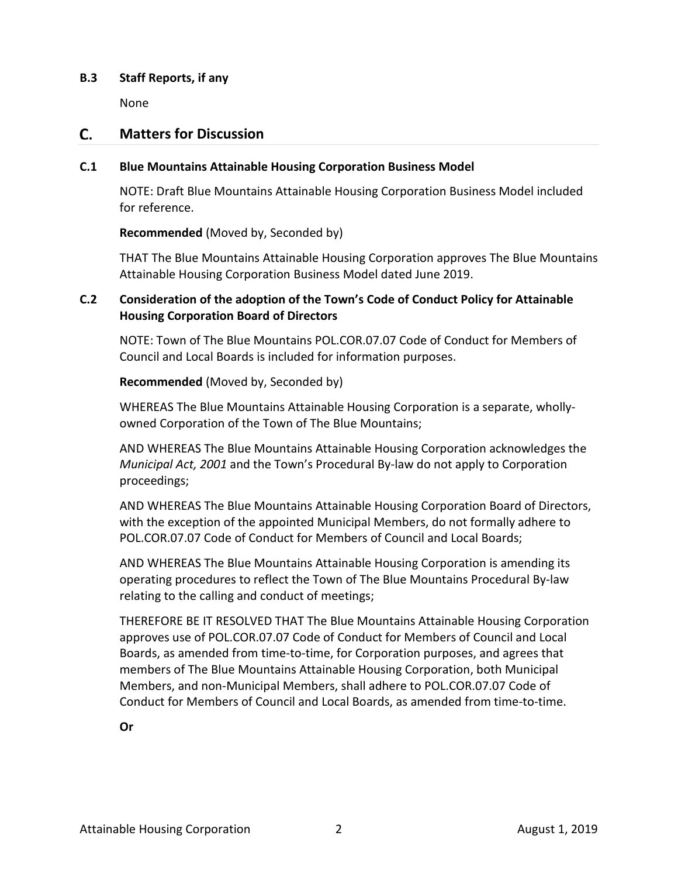## **B.3 Staff Reports, if any**

None

#### C. **Matters for Discussion**

### **C.1 Blue Mountains Attainable Housing Corporation Business Model**

NOTE: Draft Blue Mountains Attainable Housing Corporation Business Model included for reference.

**Recommended** (Moved by, Seconded by)

THAT The Blue Mountains Attainable Housing Corporation approves The Blue Mountains Attainable Housing Corporation Business Model dated June 2019.

## **C.2 Consideration of the adoption of the Town's Code of Conduct Policy for Attainable Housing Corporation Board of Directors**

NOTE: Town of The Blue Mountains POL.COR.07.07 Code of Conduct for Members of Council and Local Boards is included for information purposes.

**Recommended** (Moved by, Seconded by)

WHEREAS The Blue Mountains Attainable Housing Corporation is a separate, whollyowned Corporation of the Town of The Blue Mountains;

AND WHEREAS The Blue Mountains Attainable Housing Corporation acknowledges the *Municipal Act, 2001* and the Town's Procedural By-law do not apply to Corporation proceedings;

AND WHEREAS The Blue Mountains Attainable Housing Corporation Board of Directors, with the exception of the appointed Municipal Members, do not formally adhere to POL.COR.07.07 Code of Conduct for Members of Council and Local Boards;

AND WHEREAS The Blue Mountains Attainable Housing Corporation is amending its operating procedures to reflect the Town of The Blue Mountains Procedural By-law relating to the calling and conduct of meetings;

THEREFORE BE IT RESOLVED THAT The Blue Mountains Attainable Housing Corporation approves use of POL.COR.07.07 Code of Conduct for Members of Council and Local Boards, as amended from time-to-time, for Corporation purposes, and agrees that members of The Blue Mountains Attainable Housing Corporation, both Municipal Members, and non-Municipal Members, shall adhere to POL.COR.07.07 Code of Conduct for Members of Council and Local Boards, as amended from time-to-time.

**Or**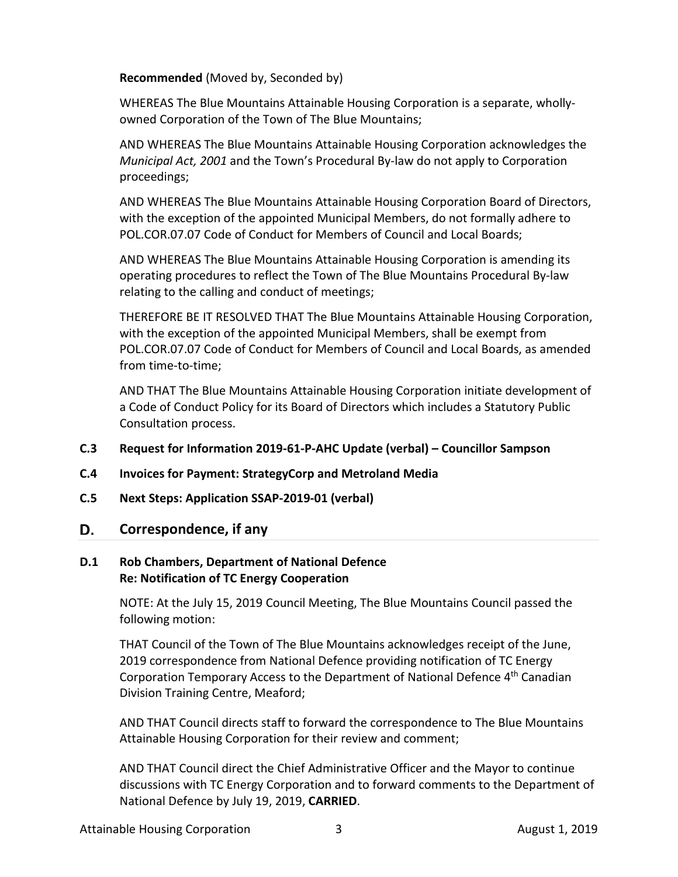**Recommended** (Moved by, Seconded by)

WHEREAS The Blue Mountains Attainable Housing Corporation is a separate, whollyowned Corporation of the Town of The Blue Mountains;

AND WHEREAS The Blue Mountains Attainable Housing Corporation acknowledges the *Municipal Act, 2001* and the Town's Procedural By-law do not apply to Corporation proceedings;

AND WHEREAS The Blue Mountains Attainable Housing Corporation Board of Directors, with the exception of the appointed Municipal Members, do not formally adhere to POL.COR.07.07 Code of Conduct for Members of Council and Local Boards;

AND WHEREAS The Blue Mountains Attainable Housing Corporation is amending its operating procedures to reflect the Town of The Blue Mountains Procedural By-law relating to the calling and conduct of meetings;

THEREFORE BE IT RESOLVED THAT The Blue Mountains Attainable Housing Corporation, with the exception of the appointed Municipal Members, shall be exempt from POL.COR.07.07 Code of Conduct for Members of Council and Local Boards, as amended from time-to-time;

AND THAT The Blue Mountains Attainable Housing Corporation initiate development of a Code of Conduct Policy for its Board of Directors which includes a Statutory Public Consultation process.

- **C.3 Request for Information 2019-61-P-AHC Update (verbal) Councillor Sampson**
- **C.4 Invoices for Payment: StrategyCorp and Metroland Media**
- **C.5 Next Steps: Application SSAP-2019-01 (verbal)**

#### D. **Correspondence, if any**

## **D.1 Rob Chambers, Department of National Defence Re: Notification of TC Energy Cooperation**

NOTE: At the July 15, 2019 Council Meeting, The Blue Mountains Council passed the following motion:

THAT Council of the Town of The Blue Mountains acknowledges receipt of the June, 2019 correspondence from National Defence providing notification of TC Energy Corporation Temporary Access to the Department of National Defence 4<sup>th</sup> Canadian Division Training Centre, Meaford;

AND THAT Council directs staff to forward the correspondence to The Blue Mountains Attainable Housing Corporation for their review and comment;

AND THAT Council direct the Chief Administrative Officer and the Mayor to continue discussions with TC Energy Corporation and to forward comments to the Department of National Defence by July 19, 2019, **CARRIED**.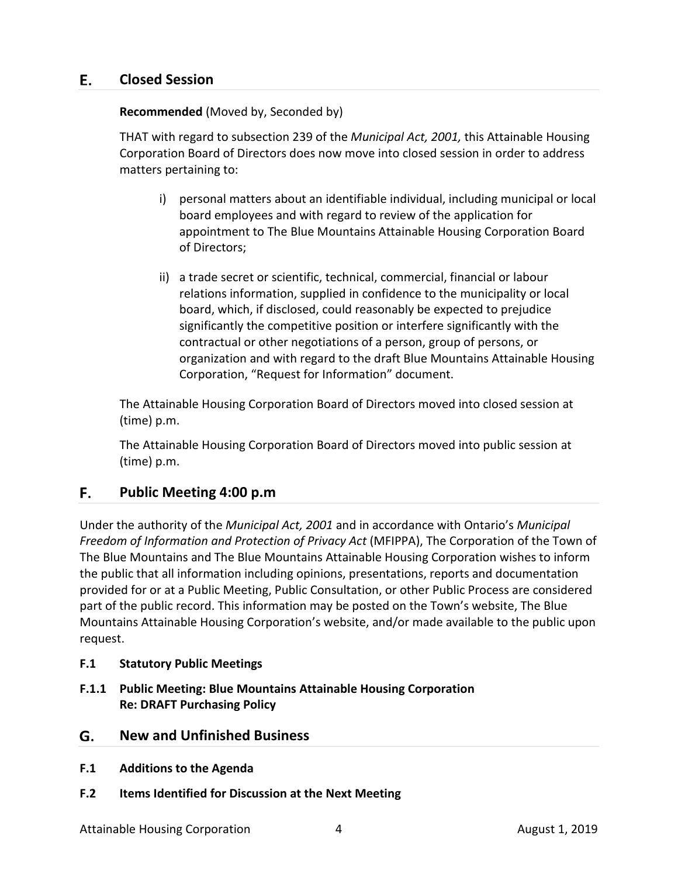### E. **Closed Session**

**Recommended** (Moved by, Seconded by)

THAT with regard to subsection 239 of the *Municipal Act, 2001,* this Attainable Housing Corporation Board of Directors does now move into closed session in order to address matters pertaining to:

- i) personal matters about an identifiable individual, including municipal or local board employees and with regard to review of the application for appointment to The Blue Mountains Attainable Housing Corporation Board of Directors;
- ii) a trade secret or scientific, technical, commercial, financial or labour relations information, supplied in confidence to the municipality or local board, which, if disclosed, could reasonably be expected to prejudice significantly the competitive position or interfere significantly with the contractual or other negotiations of a person, group of persons, or organization and with regard to the draft Blue Mountains Attainable Housing Corporation, "Request for Information" document.

The Attainable Housing Corporation Board of Directors moved into closed session at (time) p.m.

The Attainable Housing Corporation Board of Directors moved into public session at (time) p.m.

### F. **Public Meeting 4:00 p.m**

Under the authority of the *Municipal Act, 2001* and in accordance with Ontario's *Municipal Freedom of Information and Protection of Privacy Act* (MFIPPA), The Corporation of the Town of The Blue Mountains and The Blue Mountains Attainable Housing Corporation wishes to inform the public that all information including opinions, presentations, reports and documentation provided for or at a Public Meeting, Public Consultation, or other Public Process are considered part of the public record. This information may be posted on the Town's website, The Blue Mountains Attainable Housing Corporation's website, and/or made available to the public upon request.

- **F.1 Statutory Public Meetings**
- **F.1.1 Public Meeting: Blue Mountains Attainable Housing Corporation Re: DRAFT Purchasing Policy**
- G. **New and Unfinished Business**
- **F.1 Additions to the Agenda**
- **F.2 Items Identified for Discussion at the Next Meeting**